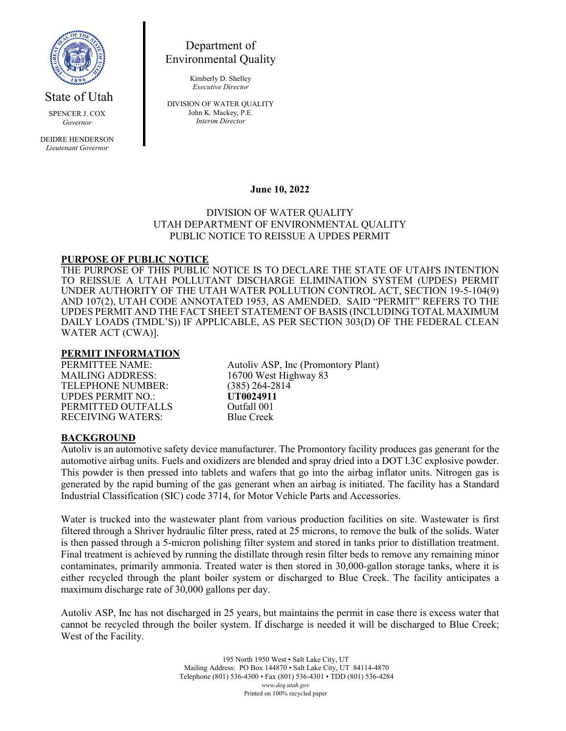

State of Utah

SPENCER J. COX *Governor*

DEIDRE HENDERSON *Lieutenant Governor*

Department of Environmental Quality

> Kimberly D. Shelley *Executive Director*

DIVISION OF WATER QUALITY John K. Mackey, P.E. *Interim Director*

## **June 10, 2022**

### DIVISION OF WATER QUALITY UTAH DEPARTMENT OF ENVIRONMENTAL QUALITY PUBLIC NOTICE TO REISSUE A UPDES PERMIT

#### **PURPOSE OF PUBLIC NOTICE**

THE PURPOSE OF THIS PUBLIC NOTICE IS TO DECLARE THE STATE OF UTAH'S INTENTION TO REISSUE A UTAH POLLUTANT DISCHARGE ELIMINATION SYSTEM (UPDES) PERMIT UNDER AUTHORITY OF THE UTAH WATER POLLUTION CONTROL ACT, SECTION 19-5-104(9) AND 107(2), UTAH CODE ANNOTATED 1953, AS AMENDED. SAID "PERMIT" REFERS TO THE UPDES PERMIT AND THE FACT SHEET STATEMENT OF BASIS (INCLUDING TOTAL MAXIMUM DAILY LOADS (TMDL'S)) IF APPLICABLE, AS PER SECTION 303(D) OF THE FEDERAL CLEAN WATER ACT (CWA)].

#### **PERMIT INFORMATION**

TELEPHONE NUMBER: (385) 264-28<br>
UPDES PERMIT NO.: (19024911) UPDES PERMIT NO.: **UT0024911** PERMITTED OUTFALLS Outfall 001<br>
RECEIVING WATERS: Blue Creek **RECEIVING WATERS:** 

PERMITTEE NAME:<br>
MAILING ADDRESS: 16700 West Highway 83 16700 West Highway 83<br>(385) 264-2814

#### **BACKGROUND**

Autoliv is an automotive safety device manufacturer. The Promontory facility produces gas generant for the automotive airbag units. Fuels and oxidizers are blended and spray dried into a DOT l.3C explosive powder. This powder is then pressed into tablets and wafers that go into the airbag inflator units. Nitrogen gas is generated by the rapid burning of the gas generant when an airbag is initiated. The facility has a Standard Industrial Classification (SIC) code 3714, for Motor Vehicle Parts and Accessories.

Water is trucked into the wastewater plant from various production facilities on site. Wastewater is first filtered through a Shriver hydraulic filter press, rated at 25 microns, to remove the bulk of the solids. Water is then passed through a 5-micron polishing filter system and stored in tanks prior to distillation treatment. Final treatment is achieved by running the distillate through resin filter beds to remove any remaining minor contaminates, primarily ammonia. Treated water is then stored in 30,000-gallon storage tanks, where it is either recycled through the plant boiler system or discharged to Blue Creek. The facility anticipates a maximum discharge rate of 30,000 gallons per day.

Autoliv ASP, Inc has not discharged in 25 years, but maintains the permit in case there is excess water that cannot be recycled through the boiler system. If discharge is needed it will be discharged to Blue Creek; West of the Facility.

> 195 North 1950 West • Salt Lake City, UT Mailing Address: PO Box 144870 • Salt Lake City, UT 84114-4870 Telephone (801) 536-4300 • Fax (801) 536-4301 • TDD (801) 536-4284 *www.deq.utah.gov* Printed on 100% recycled paper